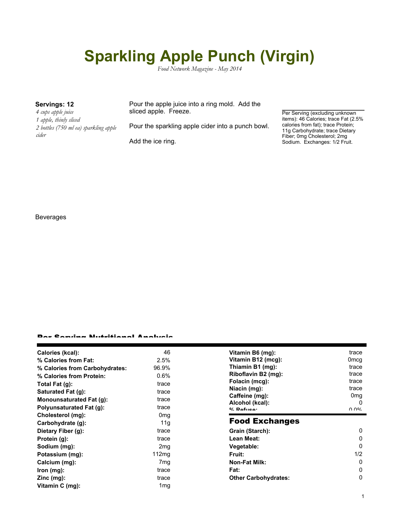# **Sparkling Apple Punch (Virgin)**

*Food Network Magazine - May 2014*

*4 cups apple juice 1 apple, thinly sliced 2 bottles (750 ml ea) sparkling apple cider*

**Servings: 12** Pour the apple juice into a ring mold. Add the sliced apple. Freeze.

Pour the sparkling apple cider into a punch bowl.

Add the ice ring.

Per Serving (excluding unknown items): 46 Calories; trace Fat (2.5% calories from fat); trace Protein; 11g Carbohydrate; trace Dietary Fiber; 0mg Cholesterol; 2mg Sodium. Exchanges: 1/2 Fruit.

# Beverages

### Per Serving Nutritional Analysis

| Calories (kcal):                | 46              | Vitamin B6 (mg):                  | trace                |
|---------------------------------|-----------------|-----------------------------------|----------------------|
| % Calories from Fat:            | 2.5%            | Vitamin B12 (mcg):                | 0 <sub>mcg</sub>     |
| % Calories from Carbohydrates:  | 96.9%           | Thiamin B1 (mg):                  | trace                |
| % Calories from Protein:        | 0.6%            | Riboflavin B2 (mg):               | trace                |
| Total Fat $(q)$ :               | trace           | Folacin (mcg):                    | trace                |
| Saturated Fat (g):              | trace           | Niacin (mg):                      | trace                |
| Monounsaturated Fat (g):        | trace           | Caffeine (mg):                    | 0 <sub>mg</sub><br>0 |
| <b>Polyunsaturated Fat (g):</b> | trace           | Alcohol (kcal):<br>$0/2$ Pofileo: | በ በ%                 |
| Cholesterol (mg):               | 0 <sub>mg</sub> |                                   |                      |
| Carbohydrate (g):               | 11g             | <b>Food Exchanges</b>             |                      |
| Dietary Fiber (g):              | trace           | Grain (Starch):                   | 0                    |
| Protein (g):                    | trace           | Lean Meat:                        | 0                    |
| Sodium (mg):                    | 2 <sub>mg</sub> | Vegetable:                        | 0                    |
| Potassium (mg):                 | 112mg           | Fruit:                            | 1/2                  |
| Calcium (mg):                   | 7 <sub>mg</sub> | <b>Non-Fat Milk:</b>              | 0                    |
| lron (mg):                      | trace           | Fat:                              | 0                    |
| $Zinc$ (mg):                    | trace           | <b>Other Carbohydrates:</b>       | 0                    |
| Vitamin C (mg):                 | 1 <sub>mg</sub> |                                   |                      |